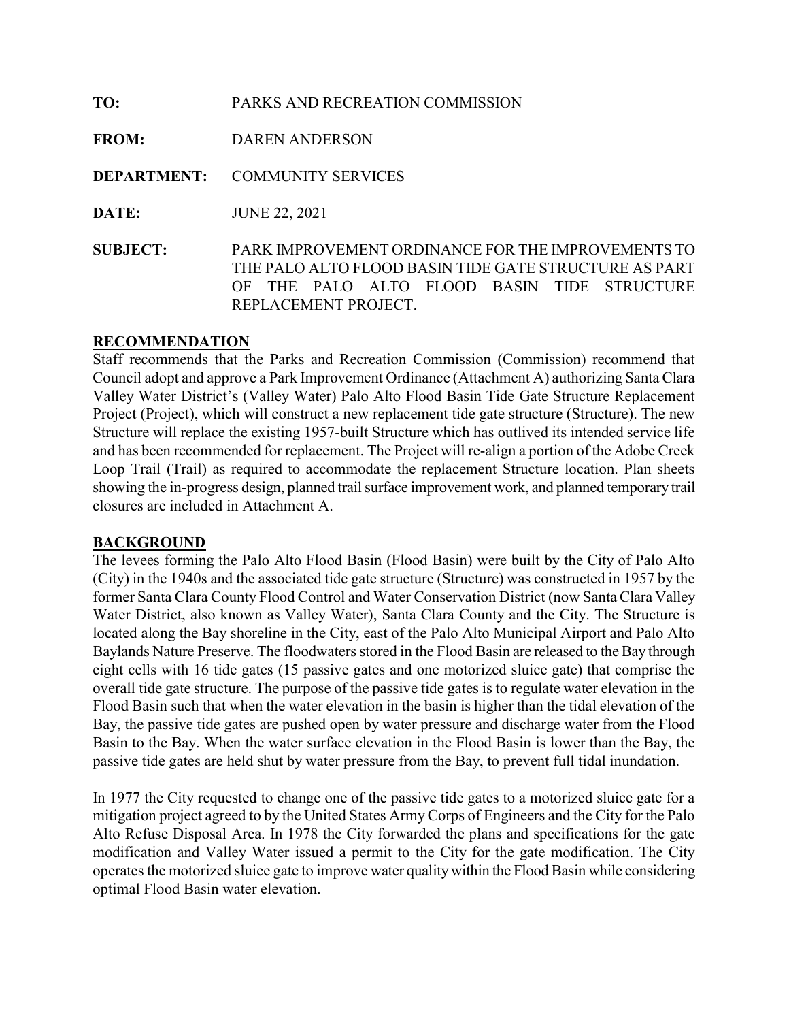| TO:             | PARKS AND RECREATION COMMISSION                                                                                                                                                        |
|-----------------|----------------------------------------------------------------------------------------------------------------------------------------------------------------------------------------|
| <b>FROM:</b>    | <b>DAREN ANDERSON</b>                                                                                                                                                                  |
|                 | <b>DEPARTMENT: COMMUNITY SERVICES</b>                                                                                                                                                  |
| DATE:           | <b>JUNE 22, 2021</b>                                                                                                                                                                   |
| <b>SUBJECT:</b> | PARK IMPROVEMENT ORDINANCE FOR THE IMPROVEMENTS TO<br>THE PALO ALTO FLOOD BASIN TIDE GATE STRUCTURE AS PART<br>THE PALO ALTO FLOOD BASIN TIDE STRUCTURE<br>OF.<br>REPLACEMENT PROJECT. |

#### RECOMMENDATION

Staff recommends that the Parks and Recreation Commission (Commission) recommend that Council adopt and approve a Park Improvement Ordinance (Attachment A) authorizing Santa Clara Valley Water District's (Valley Water) Palo Alto Flood Basin Tide Gate Structure Replacement Project (Project), which will construct a new replacement tide gate structure (Structure). The new Structure will replace the existing 1957-built Structure which has outlived its intended service life and has been recommended for replacement. The Project will re-align a portion of the Adobe Creek Loop Trail (Trail) as required to accommodate the replacement Structure location. Plan sheets showing the in-progress design, planned trail surface improvement work, and planned temporary trail closures are included in Attachment A.

#### BACKGROUND

The levees forming the Palo Alto Flood Basin (Flood Basin) were built by the City of Palo Alto (City) in the 1940s and the associated tide gate structure (Structure) was constructed in 1957 by the former Santa Clara County Flood Control and Water Conservation District (now Santa Clara Valley Water District, also known as Valley Water), Santa Clara County and the City. The Structure is located along the Bay shoreline in the City, east of the Palo Alto Municipal Airport and Palo Alto Baylands Nature Preserve. The floodwaters stored in the Flood Basin are released to the Bay through eight cells with 16 tide gates (15 passive gates and one motorized sluice gate) that comprise the overall tide gate structure. The purpose of the passive tide gates is to regulate water elevation in the Flood Basin such that when the water elevation in the basin is higher than the tidal elevation of the Bay, the passive tide gates are pushed open by water pressure and discharge water from the Flood Basin to the Bay. When the water surface elevation in the Flood Basin is lower than the Bay, the passive tide gates are held shut by water pressure from the Bay, to prevent full tidal inundation.

In 1977 the City requested to change one of the passive tide gates to a motorized sluice gate for a mitigation project agreed to by the United States Army Corps of Engineers and the City for the Palo Alto Refuse Disposal Area. In 1978 the City forwarded the plans and specifications for the gate modification and Valley Water issued a permit to the City for the gate modification. The City operates the motorized sluice gate to improve water quality within the Flood Basin while considering optimal Flood Basin water elevation.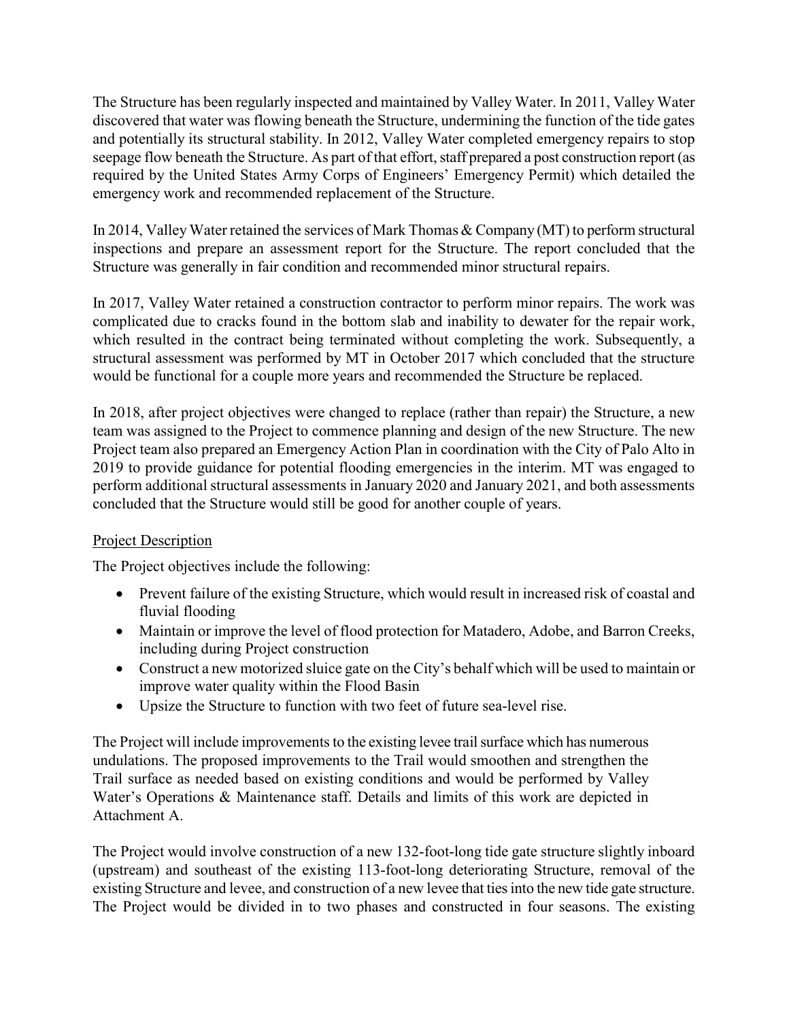The Structure has been regularly inspected and maintained by Valley Water. In 2011, Valley Water discovered that water was flowing beneath the Structure, undermining the function of the tide gates and potentially its structural stability. In 2012, Valley Water completed emergency repairs to stop seepage flow beneath the Structure. As part of that effort, staff prepared a post construction report (as required by the United States Army Corps of Engineers' Emergency Permit) which detailed the emergency work and recommended replacement of the Structure.

In 2014, Valley Water retained the services of Mark Thomas & Company (MT) to perform structural inspections and prepare an assessment report for the Structure. The report concluded that the Structure was generally in fair condition and recommended minor structural repairs.

In 2017, Valley Water retained a construction contractor to perform minor repairs. The work was complicated due to cracks found in the bottom slab and inability to dewater for the repair work, which resulted in the contract being terminated without completing the work. Subsequently, a structural assessment was performed by MT in October 2017 which concluded that the structure would be functional for a couple more years and recommended the Structure be replaced.

In 2018, after project objectives were changed to replace (rather than repair) the Structure, a new team was assigned to the Project to commence planning and design of the new Structure. The new Project team also prepared an Emergency Action Plan in coordination with the City of Palo Alto in 2019 to provide guidance for potential flooding emergencies in the interim. MT was engaged to perform additional structural assessments in January 2020 and January 2021, and both assessments concluded that the Structure would still be good for another couple of years.

### **Project Description**

The Project objectives include the following:

- Prevent failure of the existing Structure, which would result in increased risk of coastal and fluvial flooding
- Maintain or improve the level of flood protection for Matadero, Adobe, and Barron Creeks, including during Project construction
- Construct a new motorized sluice gate on the City's behalf which will be used to maintain or improve water quality within the Flood Basin
- Upsize the Structure to function with two feet of future sea-level rise.

The Project will include improvements to the existing levee trail surface which has numerous undulations. The proposed improvements to the Trail would smoothen and strengthen the Trail surface as needed based on existing conditions and would be performed by Valley Water's Operations & Maintenance staff. Details and limits of this work are depicted in Attachment A.

The Project would involve construction of a new 132-foot-long tide gate structure slightly inboard (upstream) and southeast of the existing 113-foot-long deteriorating Structure, removal of the existing Structure and levee, and construction of a new levee that ties into the new tide gate structure. The Project would be divided in to two phases and constructed in four seasons. The existing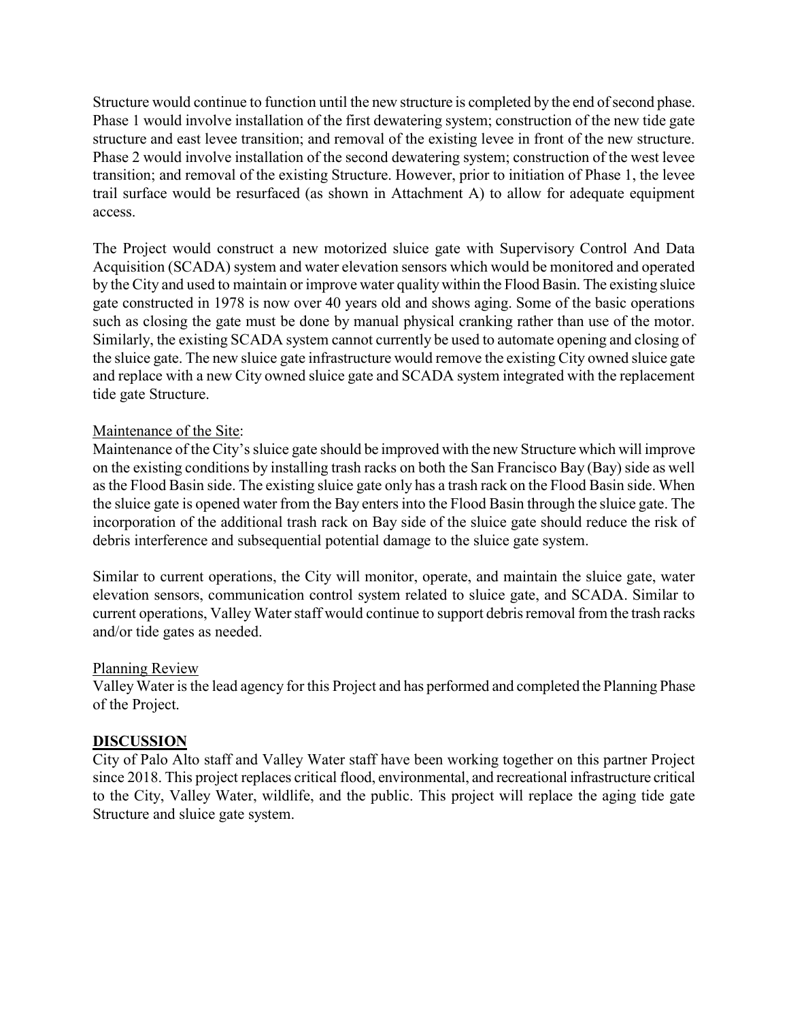Structure would continue to function until the new structure is completed by the end of second phase. Phase 1 would involve installation of the first dewatering system; construction of the new tide gate structure and east levee transition; and removal of the existing levee in front of the new structure. Phase 2 would involve installation of the second dewatering system; construction of the west levee transition; and removal of the existing Structure. However, prior to initiation of Phase 1, the levee trail surface would be resurfaced (as shown in Attachment A) to allow for adequate equipment access.

The Project would construct a new motorized sluice gate with Supervisory Control And Data Acquisition (SCADA) system and water elevation sensors which would be monitored and operated by the City and used to maintain or improve water quality within the Flood Basin. The existing sluice gate constructed in 1978 is now over 40 years old and shows aging. Some of the basic operations such as closing the gate must be done by manual physical cranking rather than use of the motor. Similarly, the existing SCADA system cannot currently be used to automate opening and closing of the sluice gate. The new sluice gate infrastructure would remove the existing City owned sluice gate and replace with a new City owned sluice gate and SCADA system integrated with the replacement tide gate Structure.

### Maintenance of the Site:

Maintenance of the City's sluice gate should be improved with the new Structure which will improve on the existing conditions by installing trash racks on both the San Francisco Bay (Bay) side as well as the Flood Basin side. The existing sluice gate only has a trash rack on the Flood Basin side. When the sluice gate is opened water from the Bay enters into the Flood Basin through the sluice gate. The incorporation of the additional trash rack on Bay side of the sluice gate should reduce the risk of debris interference and subsequential potential damage to the sluice gate system.

Similar to current operations, the City will monitor, operate, and maintain the sluice gate, water elevation sensors, communication control system related to sluice gate, and SCADA. Similar to current operations, Valley Water staff would continue to support debris removal from the trash racks and/or tide gates as needed.

### Planning Review

Valley Water is the lead agency for this Project and has performed and completed the Planning Phase of the Project.

### DISCUSSION

City of Palo Alto staff and Valley Water staff have been working together on this partner Project since 2018. This project replaces critical flood, environmental, and recreational infrastructure critical to the City, Valley Water, wildlife, and the public. This project will replace the aging tide gate Structure and sluice gate system.